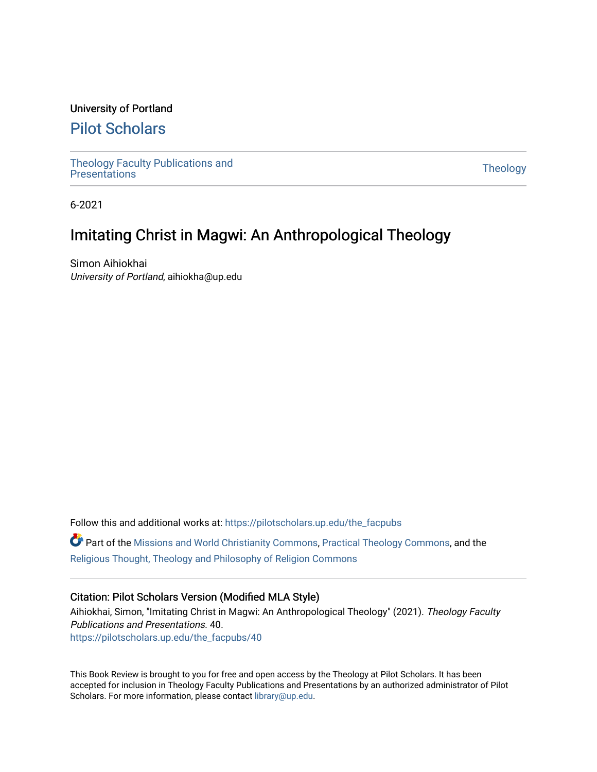## University of Portland

## [Pilot Scholars](https://pilotscholars.up.edu/)

[Theology Faculty Publications and](https://pilotscholars.up.edu/the_facpubs) Theology Faculty Publications and<br>[Presentations](https://pilotscholars.up.edu/the_facpubs) Theology

6-2021

## Imitating Christ in Magwi: An Anthropological Theology

Simon Aihiokhai University of Portland, aihiokha@up.edu

Follow this and additional works at: [https://pilotscholars.up.edu/the\\_facpubs](https://pilotscholars.up.edu/the_facpubs?utm_source=pilotscholars.up.edu%2Fthe_facpubs%2F40&utm_medium=PDF&utm_campaign=PDFCoverPages) Part of the [Missions and World Christianity Commons](http://network.bepress.com/hgg/discipline/1187?utm_source=pilotscholars.up.edu%2Fthe_facpubs%2F40&utm_medium=PDF&utm_campaign=PDFCoverPages), [Practical Theology Commons](http://network.bepress.com/hgg/discipline/1186?utm_source=pilotscholars.up.edu%2Fthe_facpubs%2F40&utm_medium=PDF&utm_campaign=PDFCoverPages), and the [Religious Thought, Theology and Philosophy of Religion Commons](http://network.bepress.com/hgg/discipline/544?utm_source=pilotscholars.up.edu%2Fthe_facpubs%2F40&utm_medium=PDF&utm_campaign=PDFCoverPages) 

## Citation: Pilot Scholars Version (Modified MLA Style)

Aihiokhai, Simon, "Imitating Christ in Magwi: An Anthropological Theology" (2021). Theology Faculty Publications and Presentations. 40. [https://pilotscholars.up.edu/the\\_facpubs/40](https://pilotscholars.up.edu/the_facpubs/40?utm_source=pilotscholars.up.edu%2Fthe_facpubs%2F40&utm_medium=PDF&utm_campaign=PDFCoverPages) 

This Book Review is brought to you for free and open access by the Theology at Pilot Scholars. It has been accepted for inclusion in Theology Faculty Publications and Presentations by an authorized administrator of Pilot Scholars. For more information, please contact [library@up.edu](mailto:library@up.edu).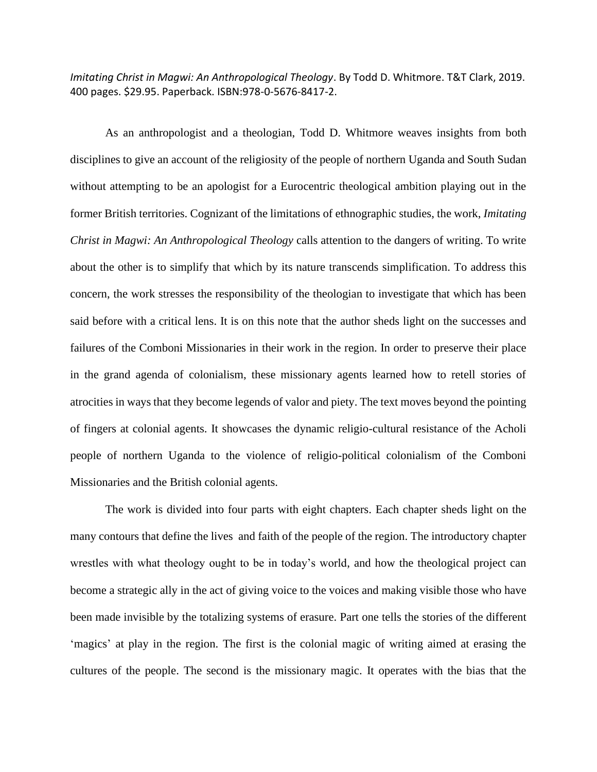*Imitating Christ in Magwi: An Anthropological Theology*. By Todd D. Whitmore. T&T Clark, 2019. 400 pages. \$29.95. Paperback. ISBN:978-0-5676-8417-2.

As an anthropologist and a theologian, Todd D. Whitmore weaves insights from both disciplines to give an account of the religiosity of the people of northern Uganda and South Sudan without attempting to be an apologist for a Eurocentric theological ambition playing out in the former British territories. Cognizant of the limitations of ethnographic studies, the work, *Imitating Christ in Magwi: An Anthropological Theology* calls attention to the dangers of writing. To write about the other is to simplify that which by its nature transcends simplification. To address this concern, the work stresses the responsibility of the theologian to investigate that which has been said before with a critical lens. It is on this note that the author sheds light on the successes and failures of the Comboni Missionaries in their work in the region. In order to preserve their place in the grand agenda of colonialism, these missionary agents learned how to retell stories of atrocities in ways that they become legends of valor and piety. The text moves beyond the pointing of fingers at colonial agents. It showcases the dynamic religio-cultural resistance of the Acholi people of northern Uganda to the violence of religio-political colonialism of the Comboni Missionaries and the British colonial agents.

The work is divided into four parts with eight chapters. Each chapter sheds light on the many contours that define the lives and faith of the people of the region. The introductory chapter wrestles with what theology ought to be in today's world, and how the theological project can become a strategic ally in the act of giving voice to the voices and making visible those who have been made invisible by the totalizing systems of erasure. Part one tells the stories of the different 'magics' at play in the region. The first is the colonial magic of writing aimed at erasing the cultures of the people. The second is the missionary magic. It operates with the bias that the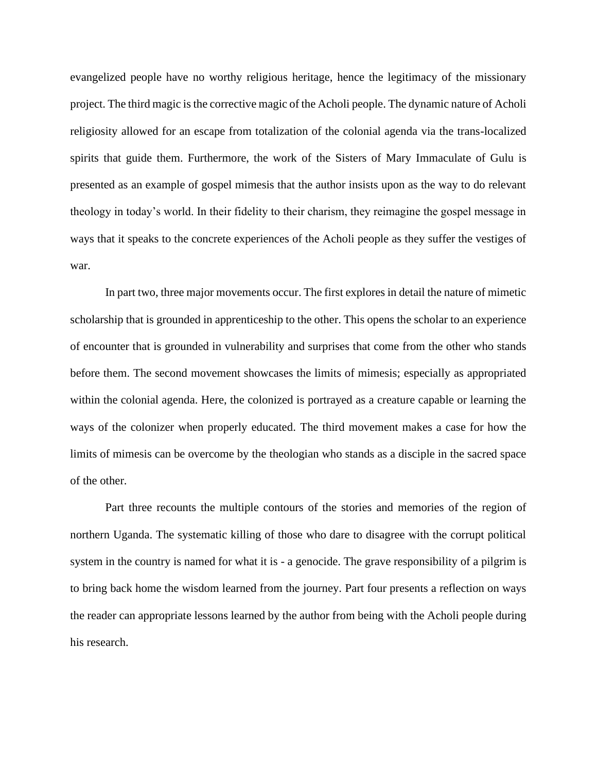evangelized people have no worthy religious heritage, hence the legitimacy of the missionary project. The third magic is the corrective magic of the Acholi people. The dynamic nature of Acholi religiosity allowed for an escape from totalization of the colonial agenda via the trans-localized spirits that guide them. Furthermore, the work of the Sisters of Mary Immaculate of Gulu is presented as an example of gospel mimesis that the author insists upon as the way to do relevant theology in today's world. In their fidelity to their charism, they reimagine the gospel message in ways that it speaks to the concrete experiences of the Acholi people as they suffer the vestiges of war.

In part two, three major movements occur. The first explores in detail the nature of mimetic scholarship that is grounded in apprenticeship to the other. This opens the scholar to an experience of encounter that is grounded in vulnerability and surprises that come from the other who stands before them. The second movement showcases the limits of mimesis; especially as appropriated within the colonial agenda. Here, the colonized is portrayed as a creature capable or learning the ways of the colonizer when properly educated. The third movement makes a case for how the limits of mimesis can be overcome by the theologian who stands as a disciple in the sacred space of the other.

Part three recounts the multiple contours of the stories and memories of the region of northern Uganda. The systematic killing of those who dare to disagree with the corrupt political system in the country is named for what it is - a genocide. The grave responsibility of a pilgrim is to bring back home the wisdom learned from the journey. Part four presents a reflection on ways the reader can appropriate lessons learned by the author from being with the Acholi people during his research.